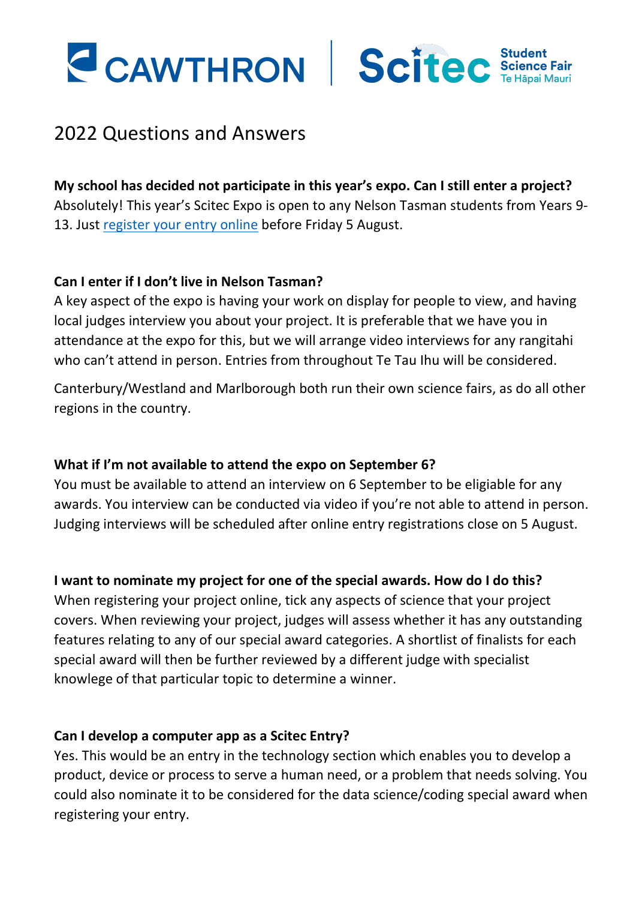



# 2022 Questions and Answers

### **My school has decided not participate in this year's expo. Can I still enter a project?**

Absolutely! This year's Scitec Expo is open to any Nelson Tasman students from Years 9 13. Just [register your entry](https://www.cawthron.org.nz/scitec/scitec-project-2022-entry/) online before Friday 5 August.

## **Can I enter if I don't live in Nelson Tasman?**

A key aspect of the expo is having your work on display for people to view, and having local judges interview you about your project. It is preferable that we have you in attendance at the expo for this, but we will arrange video interviews for any rangitahi who can't attend in person. Entries from throughout Te Tau Ihu will be considered.

Canterbury/Westland and Marlborough both run their own science fairs, as do all other regions in the country.

### **What if I'm not available to attend the expo on September 6?**

You must be available to attend an interview on 6 September to be eligiable for any awards. You interview can be conducted via video if you're not able to attend in person. Judging interviews will be scheduled after online entry registrations close on 5 August.

### **I want to nominate my project for one of the special awards. How do I do this?**

When registering your project online, tick any aspects of science that your project covers. When reviewing your project, judges will assess whether it has any outstanding features relating to any of our special award categories. A shortlist of finalists for each special award will then be further reviewed by a different judge with specialist knowlege of that particular topic to determine a winner.

### **Can I develop a computer app as a Scitec Entry?**

Yes. This would be an entry in the technology section which enables you to develop a product, device or process to serve a human need, or a problem that needs solving. You could also nominate it to be considered for the data science/coding special award when registering your entry.